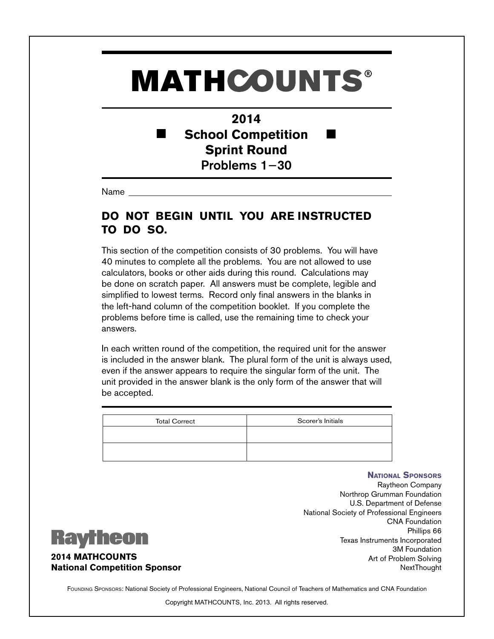## **MATHCOUNTS®**

**2014 School Competition** ٠ **Sprint Round** Problems 1−30

Name

## **DO NOT BEGIN UNTIL YOU ARE INSTRUCTED TO DO SO.**

This section of the competition consists of 30 problems. You will have 40 minutes to complete all the problems. You are not allowed to use calculators, books or other aids during this round. Calculations may be done on scratch paper. All answers must be complete, legible and simplified to lowest terms. Record only final answers in the blanks in the left-hand column of the competition booklet. If you complete the problems before time is called, use the remaining time to check your answers.

In each written round of the competition, the required unit for the answer is included in the answer blank. The plural form of the unit is always used, even if the answer appears to require the singular form of the unit. The unit provided in the answer blank is the only form of the answer that will be accepted.

| <b>Total Correct</b> | Scorer's Initials |
|----------------------|-------------------|
|                      |                   |
|                      |                   |
|                      |                   |

## **National Sponsors** Raytheon Company Northrop Grumman Foundation U.S. Department of Defense National Society of Professional Engineers CNA Foundation Phillips 66 Texas Instruments Incorporated 3M Foundation Art of Problem Solving **NextThought**



**2014 MATHCOUNTS National Competition Sponsor**

FOUNDING SPONSORS: National Society of Professional Engineers, National Council of Teachers of Mathematics and CNA Foundation

Copyright MATHCOUNTS, Inc. 2013. All rights reserved.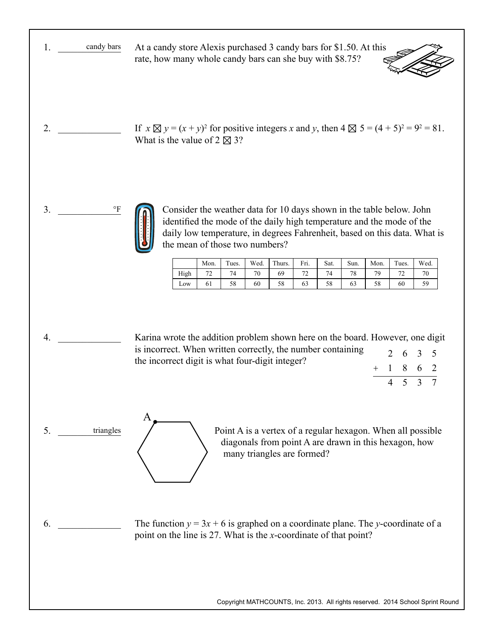|    | candy bars             | At a candy store Alexis purchased 3 candy bars for \$1.50. At this<br><b>RANT</b><br>rate, how many whole candy bars can she buy with \$8.75?         |
|----|------------------------|-------------------------------------------------------------------------------------------------------------------------------------------------------|
| 2. |                        | If $x \boxtimes y = (x + y)^2$ for positive integers x and y, then $4 \boxtimes 5 = (4 + 5)^2 = 9^2 = 81$ .<br>What is the value of $2 \boxtimes 3$ ? |
| 3. | $\mathsf{P}\mathbf{F}$ | Consider the weather data for 10 days shown in the table below. John                                                                                  |

Consider the weather data for 10 days shown in the table below. John identified the mode of the daily high temperature and the mode of the daily low temperature, in degrees Fahrenheit, based on this data. What is the mean of those two numbers?

|      | Mon.    | Tues. | Wed. | Thurs. | Fri.             | Sat. | Sun. | Mon. | Tues. | Wed.      |
|------|---------|-------|------|--------|------------------|------|------|------|-------|-----------|
| High | 70<br>∠ | 74    | 70   | 69     | $7^{\circ}$<br>- | 74   | 78   | 70   | 70    |           |
| Low  | 01      | 58    | 60   | 58     | 03               | 58   | 63   | 58   | 60    | ٢q<br>ر ر |

4. \_\_\_\_\_\_\_\_\_\_\_\_\_ Karina wrote the addition problem shown here on the board. However, one digit is incorrect. When written correctly, the number containing the incorrect digit is what four-digit integer? 2 6 3 5

Point A is a vertex of a regular hexagon. When all possible diagonals from point A are drawn in this hexagon, how many triangles are formed?

1 862 4 5 3 7

+

 $6.$ 

5. \_\_\_\_\_\_\_\_\_\_\_\_\_ triangles

A

The function  $y = 3x + 6$  is graphed on a coordinate plane. The *y*-coordinate of a point on the line is 27. What is the *x*-coordinate of that point?

Copyright MATHCOUNTS, Inc. 2013. All rights reserved. 2014 School Sprint Round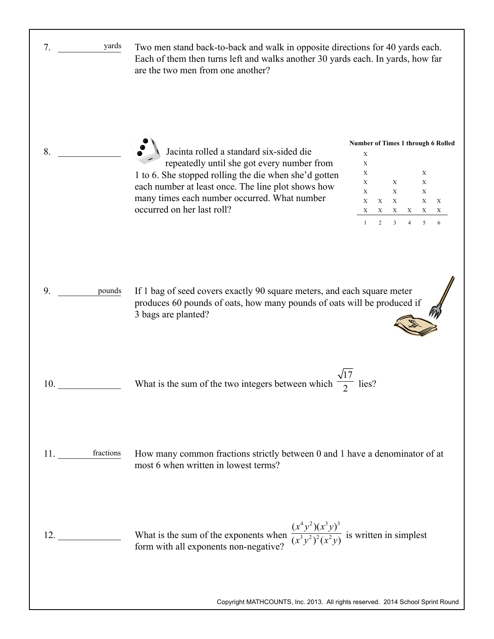| yards<br>7.                  | Two men stand back-to-back and walk in opposite directions for 40 yards each.<br>Each of them then turns left and walks another 30 yards each. In yards, how far<br>are the two men from one another?                                                                              |                                                                                                                                                                                                                                                          |
|------------------------------|------------------------------------------------------------------------------------------------------------------------------------------------------------------------------------------------------------------------------------------------------------------------------------|----------------------------------------------------------------------------------------------------------------------------------------------------------------------------------------------------------------------------------------------------------|
| 8.                           | Jacinta rolled a standard six-sided die<br>repeatedly until she got every number from<br>1 to 6. She stopped rolling the die when she'd gotten<br>each number at least once. The line plot shows how<br>many times each number occurred. What number<br>occurred on her last roll? | Number of Times 1 through 6 Rolled<br>X<br>$\mathbf X$<br>X<br>X<br>X<br>X<br>X<br>$\mathbf X$<br>X<br>$\mathbf X$<br>$\mathbf X$<br>$\mathbf X$<br>$\mathbf X$<br>X<br>X<br>X<br>$\mathbf X$<br>X<br>X<br>X<br>$\overline{2}$<br>3<br>5<br>$\mathbf{1}$ |
| 9.<br>pounds                 | If 1 bag of seed covers exactly 90 square meters, and each square meter<br>produces 60 pounds of oats, how many pounds of oats will be produced if<br>3 bags are planted?                                                                                                          |                                                                                                                                                                                                                                                          |
| 10.                          | What is the sum of the two integers between which $\overline{\phantom{a}}$                                                                                                                                                                                                         | $\frac{1}{2}$ lies?                                                                                                                                                                                                                                      |
| 11. <u>_______</u> fractions | How many common fractions strictly between 0 and 1 have a denominator of at<br>most 6 when written in lowest terms?                                                                                                                                                                |                                                                                                                                                                                                                                                          |
| 12.                          | What is the sum of the exponents when $\frac{(x^4y^2)(x^3y)^3}{(x^3y^2)^2(x^2y)}$ is written in simplest form with all exponents non-negative?                                                                                                                                     |                                                                                                                                                                                                                                                          |
|                              | Copyright MATHCOUNTS, Inc. 2013. All rights reserved. 2014 School Sprint Round                                                                                                                                                                                                     |                                                                                                                                                                                                                                                          |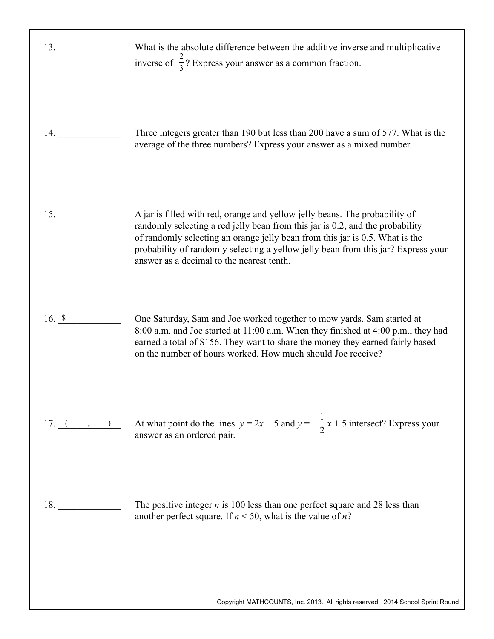| 13.            | What is the absolute difference between the additive inverse and multiplicative<br>inverse of $\frac{2}{3}$ ? Express your answer as a common fraction.                                                                                                                                                                                                                        |
|----------------|--------------------------------------------------------------------------------------------------------------------------------------------------------------------------------------------------------------------------------------------------------------------------------------------------------------------------------------------------------------------------------|
|                | Three integers greater than 190 but less than 200 have a sum of 577. What is the<br>average of the three numbers? Express your answer as a mixed number.                                                                                                                                                                                                                       |
| 15.            | A jar is filled with red, orange and yellow jelly beans. The probability of<br>randomly selecting a red jelly bean from this jar is 0.2, and the probability<br>of randomly selecting an orange jelly bean from this jar is 0.5. What is the<br>probability of randomly selecting a yellow jelly bean from this jar? Express your<br>answer as a decimal to the nearest tenth. |
| 16. $\sqrt{s}$ | One Saturday, Sam and Joe worked together to mow yards. Sam started at<br>8:00 a.m. and Joe started at 11:00 a.m. When they finished at 4:00 p.m., they had<br>earned a total of \$156. They want to share the money they earned fairly based<br>on the number of hours worked. How much should Joe receive?                                                                   |
| $17. ($ , $)$  | At what point do the lines $y = 2x - 5$ and $y = -\frac{1}{2}x + 5$ intersect? Express your<br>answer as an ordered pair.                                                                                                                                                                                                                                                      |
| 18.            | The positive integer $n$ is 100 less than one perfect square and 28 less than<br>another perfect square. If $n < 50$ , what is the value of n?                                                                                                                                                                                                                                 |
|                | Copyright MATHCOUNTS, Inc. 2013. All rights reserved. 2014 School Sprint Round                                                                                                                                                                                                                                                                                                 |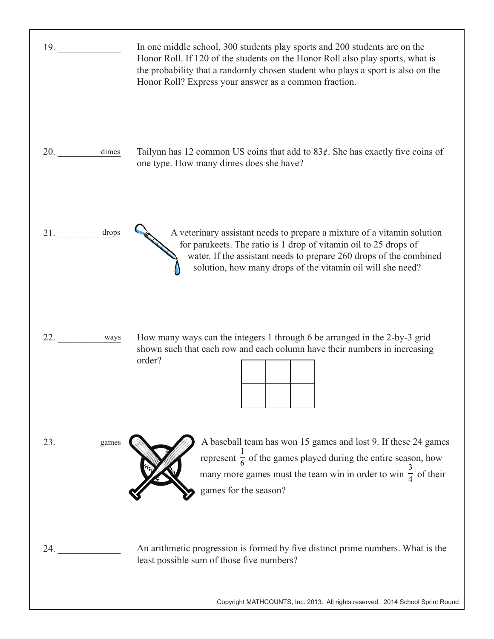| 19.          | In one middle school, 300 students play sports and 200 students are on the<br>Honor Roll. If 120 of the students on the Honor Roll also play sports, what is<br>the probability that a randomly chosen student who plays a sport is also on the<br>Honor Roll? Express your answer as a common fraction. |
|--------------|----------------------------------------------------------------------------------------------------------------------------------------------------------------------------------------------------------------------------------------------------------------------------------------------------------|
| 20.<br>dimes | Tailynn has 12 common US coins that add to $83¢$ . She has exactly five coins of<br>one type. How many dimes does she have?                                                                                                                                                                              |
| drops<br>21. | A veterinary assistant needs to prepare a mixture of a vitamin solution<br>for parakeets. The ratio is 1 drop of vitamin oil to 25 drops of<br>water. If the assistant needs to prepare 260 drops of the combined<br>solution, how many drops of the vitamin oil will she need?                          |
| 22.<br>ways  | How many ways can the integers 1 through 6 be arranged in the 2-by-3 grid<br>shown such that each row and each column have their numbers in increasing<br>order?                                                                                                                                         |
| 23.<br>games | A baseball team has won 15 games and lost 9. If these 24 games<br>represent $\frac{1}{6}$ of the games played during the entire season, how<br>many more games must the team win in order to win $\frac{3}{4}$ of their<br>games for the season?                                                         |
| 24.          | An arithmetic progression is formed by five distinct prime numbers. What is the<br>least possible sum of those five numbers?<br>Copyright MATHCOUNTS, Inc. 2013. All rights reserved. 2014 School Sprint Round                                                                                           |